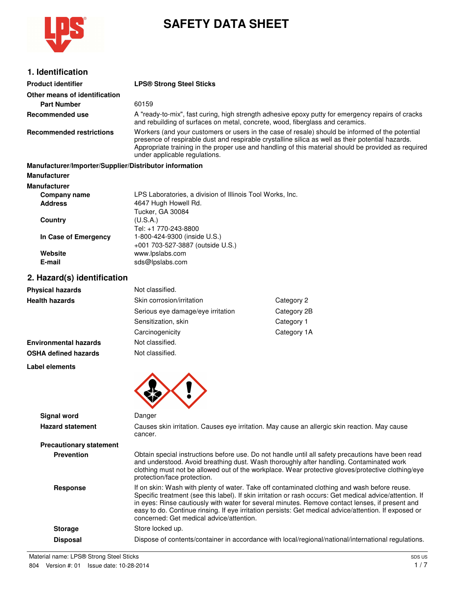

# **SAFETY DATA SHEET**

| 1. Identification                                      |                                                                                                                                                                                                                                                                                                                                              |                                                           |  |  |
|--------------------------------------------------------|----------------------------------------------------------------------------------------------------------------------------------------------------------------------------------------------------------------------------------------------------------------------------------------------------------------------------------------------|-----------------------------------------------------------|--|--|
| <b>Product identifier</b>                              | <b>LPS® Strong Steel Sticks</b>                                                                                                                                                                                                                                                                                                              |                                                           |  |  |
| Other means of identification                          |                                                                                                                                                                                                                                                                                                                                              |                                                           |  |  |
| <b>Part Number</b>                                     | 60159                                                                                                                                                                                                                                                                                                                                        |                                                           |  |  |
| Recommended use                                        | A "ready-to-mix", fast curing, high strength adhesive epoxy putty for emergency repairs of cracks<br>and rebuilding of surfaces on metal, concrete, wood, fiberglass and ceramics.                                                                                                                                                           |                                                           |  |  |
| <b>Recommended restrictions</b>                        | Workers (and your customers or users in the case of resale) should be informed of the potential<br>presence of respirable dust and respirable crystalline silica as well as their potential hazards.<br>Appropriate training in the proper use and handling of this material should be provided as required<br>under applicable regulations. |                                                           |  |  |
| Manufacturer/Importer/Supplier/Distributor information |                                                                                                                                                                                                                                                                                                                                              |                                                           |  |  |
| <b>Manufacturer</b>                                    |                                                                                                                                                                                                                                                                                                                                              |                                                           |  |  |
| <b>Manufacturer</b>                                    |                                                                                                                                                                                                                                                                                                                                              |                                                           |  |  |
| Company name                                           |                                                                                                                                                                                                                                                                                                                                              | LPS Laboratories, a division of Illinois Tool Works, Inc. |  |  |
| <b>Address</b>                                         | 4647 Hugh Howell Rd.                                                                                                                                                                                                                                                                                                                         |                                                           |  |  |
| Country                                                | <b>Tucker, GA 30084</b><br>(U.S.A.)                                                                                                                                                                                                                                                                                                          |                                                           |  |  |
|                                                        | Tel: +1 770-243-8800                                                                                                                                                                                                                                                                                                                         |                                                           |  |  |
| In Case of Emergency                                   | 1-800-424-9300 (inside U.S.)<br>+001 703-527-3887 (outside U.S.)                                                                                                                                                                                                                                                                             |                                                           |  |  |
| Website                                                | www.lpslabs.com                                                                                                                                                                                                                                                                                                                              |                                                           |  |  |
| E-mail                                                 | sds@lpslabs.com                                                                                                                                                                                                                                                                                                                              |                                                           |  |  |
| 2. Hazard(s) identification                            |                                                                                                                                                                                                                                                                                                                                              |                                                           |  |  |
| <b>Physical hazards</b>                                | Not classified.                                                                                                                                                                                                                                                                                                                              |                                                           |  |  |
| <b>Health hazards</b>                                  | Skin corrosion/irritation                                                                                                                                                                                                                                                                                                                    | Category 2                                                |  |  |
|                                                        | Serious eye damage/eye irritation                                                                                                                                                                                                                                                                                                            | Category 2B                                               |  |  |
|                                                        | Sensitization, skin                                                                                                                                                                                                                                                                                                                          | Category 1                                                |  |  |
|                                                        | Carcinogenicity                                                                                                                                                                                                                                                                                                                              | Category 1A                                               |  |  |
| <b>Environmental hazards</b>                           | Not classified.                                                                                                                                                                                                                                                                                                                              |                                                           |  |  |
| <b>OSHA defined hazards</b>                            | Not classified.                                                                                                                                                                                                                                                                                                                              |                                                           |  |  |
| Label elements                                         |                                                                                                                                                                                                                                                                                                                                              |                                                           |  |  |
|                                                        |                                                                                                                                                                                                                                                                                                                                              |                                                           |  |  |
|                                                        |                                                                                                                                                                                                                                                                                                                                              |                                                           |  |  |
|                                                        |                                                                                                                                                                                                                                                                                                                                              |                                                           |  |  |

|                                | w                                                                                                                                                                                                                                                                                                                                                                                                                                                                |
|--------------------------------|------------------------------------------------------------------------------------------------------------------------------------------------------------------------------------------------------------------------------------------------------------------------------------------------------------------------------------------------------------------------------------------------------------------------------------------------------------------|
| <b>Signal word</b>             | Danger                                                                                                                                                                                                                                                                                                                                                                                                                                                           |
| <b>Hazard statement</b>        | Causes skin irritation. Causes eye irritation. May cause an allergic skin reaction. May cause<br>cancer.                                                                                                                                                                                                                                                                                                                                                         |
| <b>Precautionary statement</b> |                                                                                                                                                                                                                                                                                                                                                                                                                                                                  |
| <b>Prevention</b>              | Obtain special instructions before use. Do not handle until all safety precautions have been read<br>and understood. Avoid breathing dust. Wash thoroughly after handling. Contaminated work<br>clothing must not be allowed out of the workplace. Wear protective gloves/protective clothing/eye<br>protection/face protection.                                                                                                                                 |
| <b>Response</b>                | If on skin: Wash with plenty of water. Take off contaminated clothing and wash before reuse.<br>Specific treatment (see this label). If skin irritation or rash occurs: Get medical advice/attention. If<br>in eyes: Rinse cautiously with water for several minutes. Remove contact lenses, if present and<br>easy to do. Continue rinsing. If eye irritation persists: Get medical advice/attention. If exposed or<br>concerned: Get medical advice/attention. |
| <b>Storage</b>                 | Store locked up.                                                                                                                                                                                                                                                                                                                                                                                                                                                 |
| <b>Disposal</b>                | Dispose of contents/container in accordance with local/regional/national/international regulations.                                                                                                                                                                                                                                                                                                                                                              |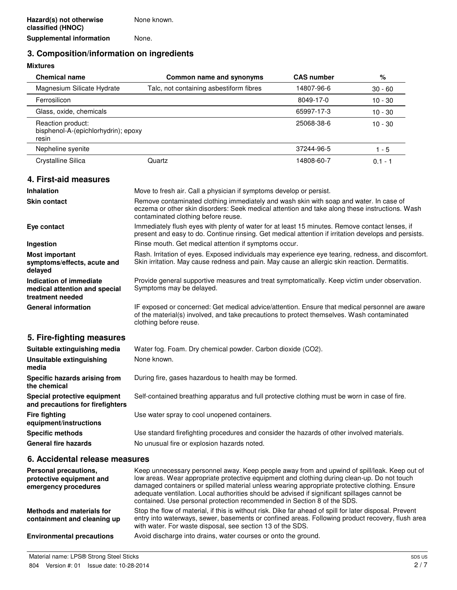# **3. Composition/information on ingredients**

## **Mixtures**

| <b>Chemical name</b>                                                         | Common name and synonyms                                                                                                                                                                                                        | <b>CAS number</b> | %         |
|------------------------------------------------------------------------------|---------------------------------------------------------------------------------------------------------------------------------------------------------------------------------------------------------------------------------|-------------------|-----------|
| Magnesium Silicate Hydrate                                                   | Talc, not containing asbestiform fibres                                                                                                                                                                                         | 14807-96-6        | $30 - 60$ |
| Ferrosilicon                                                                 |                                                                                                                                                                                                                                 | 8049-17-0         | $10 - 30$ |
| Glass, oxide, chemicals                                                      |                                                                                                                                                                                                                                 | 65997-17-3        | $10 - 30$ |
| Reaction product:<br>bisphenol-A-(epichlorhydrin); epoxy<br>resin            |                                                                                                                                                                                                                                 | 25068-38-6        | $10 - 30$ |
| Nepheline syenite                                                            |                                                                                                                                                                                                                                 | 37244-96-5        | $1 - 5$   |
| Crystalline Silica                                                           | Quartz                                                                                                                                                                                                                          | 14808-60-7        | $0.1 - 1$ |
| 4. First-aid measures                                                        |                                                                                                                                                                                                                                 |                   |           |
| <b>Inhalation</b>                                                            | Move to fresh air. Call a physician if symptoms develop or persist.                                                                                                                                                             |                   |           |
| <b>Skin contact</b>                                                          | Remove contaminated clothing immediately and wash skin with soap and water. In case of<br>eczema or other skin disorders: Seek medical attention and take along these instructions. Wash<br>contaminated clothing before reuse. |                   |           |
| Eye contact                                                                  | Immediately flush eyes with plenty of water for at least 15 minutes. Remove contact lenses, if<br>present and easy to do. Continue rinsing. Get medical attention if irritation develops and persists.                          |                   |           |
| Ingestion                                                                    | Rinse mouth. Get medical attention if symptoms occur.                                                                                                                                                                           |                   |           |
| <b>Most important</b><br>symptoms/effects, acute and<br>delayed              | Rash. Irritation of eyes. Exposed individuals may experience eye tearing, redness, and discomfort.<br>Skin irritation. May cause redness and pain. May cause an allergic skin reaction. Dermatitis.                             |                   |           |
| Indication of immediate<br>medical attention and special<br>treatment needed | Provide general supportive measures and treat symptomatically. Keep victim under observation.<br>Symptoms may be delayed.                                                                                                       |                   |           |
| <b>General information</b>                                                   | IF exposed or concerned: Get medical advice/attention. Ensure that medical personnel are aware<br>of the material(s) involved, and take precautions to protect themselves. Wash contaminated<br>clothing before reuse.          |                   |           |
| 5. Fire-fighting measures                                                    |                                                                                                                                                                                                                                 |                   |           |
| Suitable extinguishing media                                                 | Water fog. Foam. Dry chemical powder. Carbon dioxide (CO2).                                                                                                                                                                     |                   |           |
| <b>Unsuitable extinguishing</b><br>media                                     | None known.                                                                                                                                                                                                                     |                   |           |
| Specific hazards arising from<br>the chemical                                | During fire, gases hazardous to health may be formed.                                                                                                                                                                           |                   |           |
| Special protective equipment<br>and precautions for firefighters             | Self-contained breathing apparatus and full protective clothing must be worn in case of fire.                                                                                                                                   |                   |           |
| <b>Fire fighting</b><br>equipment/instructions                               | Use water spray to cool unopened containers.                                                                                                                                                                                    |                   |           |
| <b>Specific methods</b>                                                      | Use standard firefighting procedures and consider the hazards of other involved materials.                                                                                                                                      |                   |           |
| <b>General fire hazards</b>                                                  | No unusual fire or explosion hazards noted.                                                                                                                                                                                     |                   |           |
| 6. Accidental release measures                                               |                                                                                                                                                                                                                                 |                   |           |

| Personal precautions.<br>protective equipment and<br>emergency procedures | Keep unnecessary personnel away. Keep people away from and upwind of spill/leak. Keep out of<br>low areas. Wear appropriate protective equipment and clothing during clean-up. Do not touch<br>damaged containers or spilled material unless wearing appropriate protective clothing. Ensure<br>adequate ventilation. Local authorities should be advised if significant spillages cannot be<br>contained. Use personal protection recommended in Section 8 of the SDS. |
|---------------------------------------------------------------------------|-------------------------------------------------------------------------------------------------------------------------------------------------------------------------------------------------------------------------------------------------------------------------------------------------------------------------------------------------------------------------------------------------------------------------------------------------------------------------|
| Methods and materials for<br>containment and cleaning up                  | Stop the flow of material, if this is without risk. Dike far ahead of spill for later disposal. Prevent<br>entry into waterways, sewer, basements or confined areas. Following product recovery, flush area<br>with water. For waste disposal, see section 13 of the SDS.                                                                                                                                                                                               |
| <b>Environmental precautions</b>                                          | Avoid discharge into drains, water courses or onto the ground.                                                                                                                                                                                                                                                                                                                                                                                                          |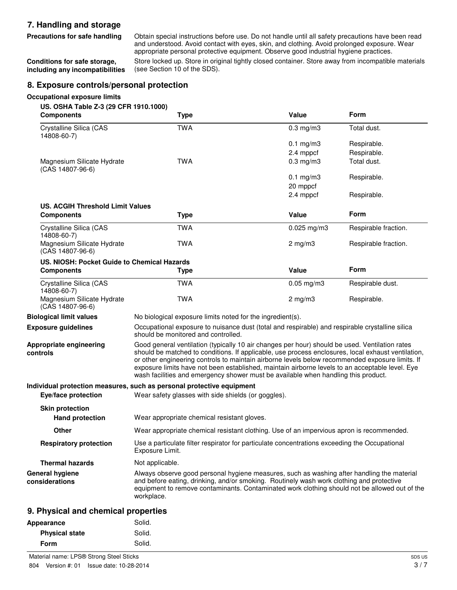# **7. Handling and storage**

**Conditions for safe storage, including any incompatibilities**

**Precautions for safe handling** Obtain special instructions before use. Do not handle until all safety precautions have been read and understood. Avoid contact with eyes, skin, and clothing. Avoid prolonged exposure. Wear appropriate personal protective equipment. Observe good industrial hygiene practices.

Store locked up. Store in original tightly closed container. Store away from incompatible materials (see Section 10 of the SDS).

## **8. Exposure controls/personal protection**

#### **Occupational exposure limits**

| US. OSHA Table Z-3 (29 CFR 1910.1000)<br><b>Components</b> | <b>Type</b>                                                                                                                                                                                                                                                                                                                                                                                                                                                                                      | Value            | Form                 |
|------------------------------------------------------------|--------------------------------------------------------------------------------------------------------------------------------------------------------------------------------------------------------------------------------------------------------------------------------------------------------------------------------------------------------------------------------------------------------------------------------------------------------------------------------------------------|------------------|----------------------|
| Crystalline Silica (CAS<br>14808-60-7)                     | <b>TWA</b>                                                                                                                                                                                                                                                                                                                                                                                                                                                                                       | $0.3$ mg/m $3$   | Total dust.          |
|                                                            |                                                                                                                                                                                                                                                                                                                                                                                                                                                                                                  | $0.1$ mg/m $3$   | Respirable.          |
|                                                            |                                                                                                                                                                                                                                                                                                                                                                                                                                                                                                  | 2.4 mppcf        | Respirable.          |
| Magnesium Silicate Hydrate<br>(CAS 14807-96-6)             | <b>TWA</b>                                                                                                                                                                                                                                                                                                                                                                                                                                                                                       | $0.3$ mg/m $3$   | Total dust.          |
|                                                            |                                                                                                                                                                                                                                                                                                                                                                                                                                                                                                  | $0.1$ mg/m $3$   | Respirable.          |
|                                                            |                                                                                                                                                                                                                                                                                                                                                                                                                                                                                                  | 20 mppcf         |                      |
|                                                            |                                                                                                                                                                                                                                                                                                                                                                                                                                                                                                  | 2.4 mppcf        | Respirable.          |
| <b>US. ACGIH Threshold Limit Values</b>                    |                                                                                                                                                                                                                                                                                                                                                                                                                                                                                                  | Value            | Form                 |
| <b>Components</b>                                          | <b>Type</b>                                                                                                                                                                                                                                                                                                                                                                                                                                                                                      |                  |                      |
| Crystalline Silica (CAS<br>14808-60-7)                     | <b>TWA</b>                                                                                                                                                                                                                                                                                                                                                                                                                                                                                       | $0.025$ mg/m $3$ | Respirable fraction. |
| Magnesium Silicate Hydrate<br>$(CAS 14807-96-6)$           | <b>TWA</b>                                                                                                                                                                                                                                                                                                                                                                                                                                                                                       | $2$ mg/m $3$     | Respirable fraction. |
| US. NIOSH: Pocket Guide to Chemical Hazards                |                                                                                                                                                                                                                                                                                                                                                                                                                                                                                                  |                  |                      |
| <b>Components</b>                                          | <b>Type</b>                                                                                                                                                                                                                                                                                                                                                                                                                                                                                      | Value            | Form                 |
| Crystalline Silica (CAS<br>14808-60-7)                     | <b>TWA</b>                                                                                                                                                                                                                                                                                                                                                                                                                                                                                       | $0.05$ mg/m $3$  | Respirable dust.     |
| Magnesium Silicate Hydrate<br>$(CAS 14807-96-6)$           | <b>TWA</b>                                                                                                                                                                                                                                                                                                                                                                                                                                                                                       | $2$ mg/m $3$     | Respirable.          |
| <b>Biological limit values</b>                             | No biological exposure limits noted for the ingredient(s).                                                                                                                                                                                                                                                                                                                                                                                                                                       |                  |                      |
| <b>Exposure guidelines</b>                                 | Occupational exposure to nuisance dust (total and respirable) and respirable crystalline silica<br>should be monitored and controlled.                                                                                                                                                                                                                                                                                                                                                           |                  |                      |
| Appropriate engineering<br>controls                        | Good general ventilation (typically 10 air changes per hour) should be used. Ventilation rates<br>should be matched to conditions. If applicable, use process enclosures, local exhaust ventilation,<br>or other engineering controls to maintain airborne levels below recommended exposure limits. If<br>exposure limits have not been established, maintain airborne levels to an acceptable level. Eye<br>wash facilities and emergency shower must be available when handling this product. |                  |                      |
|                                                            | Individual protection measures, such as personal protective equipment                                                                                                                                                                                                                                                                                                                                                                                                                            |                  |                      |
| Eye/face protection                                        | Wear safety glasses with side shields (or goggles).                                                                                                                                                                                                                                                                                                                                                                                                                                              |                  |                      |
| <b>Skin protection</b>                                     |                                                                                                                                                                                                                                                                                                                                                                                                                                                                                                  |                  |                      |
| <b>Hand protection</b>                                     | Wear appropriate chemical resistant gloves.                                                                                                                                                                                                                                                                                                                                                                                                                                                      |                  |                      |
| Other                                                      | Wear appropriate chemical resistant clothing. Use of an impervious apron is recommended.                                                                                                                                                                                                                                                                                                                                                                                                         |                  |                      |
| <b>Respiratory protection</b>                              | Use a particulate filter respirator for particulate concentrations exceeding the Occupational<br>Exposure Limit.                                                                                                                                                                                                                                                                                                                                                                                 |                  |                      |
| <b>Thermal hazards</b>                                     | Not applicable.                                                                                                                                                                                                                                                                                                                                                                                                                                                                                  |                  |                      |
| <b>General hygiene</b><br>considerations                   | Always observe good personal hygiene measures, such as washing after handling the material<br>and before eating, drinking, and/or smoking. Routinely wash work clothing and protective<br>equipment to remove contaminants. Contaminated work clothing should not be allowed out of the<br>workplace.                                                                                                                                                                                            |                  |                      |

### **9. Physical and chemical properties**

| Appearance            | Solid. |
|-----------------------|--------|
| <b>Physical state</b> | Solid. |
| <b>Form</b>           | Solid. |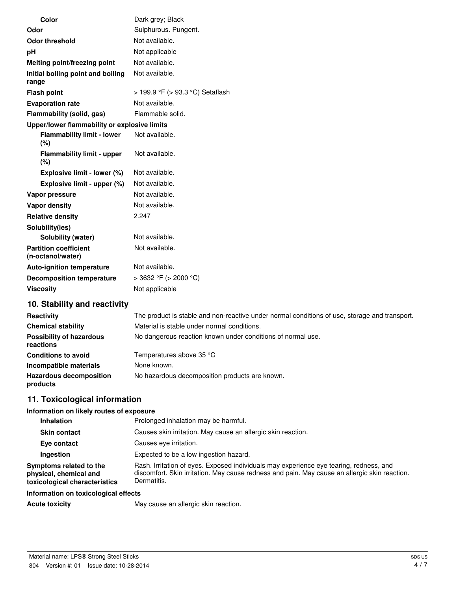| <b>Color</b>                                      | Dark grey; Black                 |
|---------------------------------------------------|----------------------------------|
| Odor                                              | Sulphurous. Pungent.             |
| <b>Odor threshold</b>                             | Not available.                   |
| pH                                                | Not applicable                   |
| Melting point/freezing point                      | Not available.                   |
| Initial boiling point and boiling<br>range        | Not available.                   |
| <b>Flash point</b>                                | > 199.9 °F (> 93.3 °C) Setaflash |
| <b>Evaporation rate</b>                           | Not available.                   |
| Flammability (solid, gas)                         | Flammable solid.                 |
| Upper/lower flammability or explosive limits      |                                  |
| <b>Flammability limit - lower</b><br>(%)          | Not available.                   |
| <b>Flammability limit - upper</b><br>(%)          | Not available.                   |
| Explosive limit - lower (%)                       | Not available.                   |
| Explosive limit - upper (%)                       | Not available.                   |
| Vapor pressure                                    | Not available.                   |
| Vapor density                                     | Not available.                   |
| <b>Relative density</b>                           | 2.247                            |
| Solubility(ies)                                   |                                  |
| Solubility (water)                                | Not available.                   |
| <b>Partition coefficient</b><br>(n-octanol/water) | Not available.                   |
| <b>Auto-ignition temperature</b>                  | Not available.                   |
| <b>Decomposition temperature</b>                  | > 3632 °F (> 2000 °C)            |
| <b>Viscosity</b>                                  | Not applicable                   |
| 10. Stability and reactivity                      |                                  |

#### Reactivity The product is stable and non-reactive under normal conditions of use, storage and transport. **Chemical stability** Material is stable under normal conditions. **Possibility of hazardous reactions** No dangerous reaction known under conditions of normal use. **Conditions to avoid** Temperatures above 35 °C **Incompatible materials** None known. **Hazardous decomposition products** No hazardous decomposition products are known.

# **11. Toxicological information**

#### **Information on likely routes of exposure**

| <b>Inhalation</b>                                                                  | Prolonged inhalation may be harmful.                                                                                                                                                                   |  |  |
|------------------------------------------------------------------------------------|--------------------------------------------------------------------------------------------------------------------------------------------------------------------------------------------------------|--|--|
| <b>Skin contact</b>                                                                | Causes skin irritation. May cause an allergic skin reaction.                                                                                                                                           |  |  |
| Eye contact                                                                        | Causes eve irritation.                                                                                                                                                                                 |  |  |
| Ingestion                                                                          | Expected to be a low ingestion hazard.                                                                                                                                                                 |  |  |
| Symptoms related to the<br>physical, chemical and<br>toxicological characteristics | Rash. Irritation of eyes. Exposed individuals may experience eye tearing, redness, and<br>discomfort. Skin irritation. May cause redness and pain. May cause an allergic skin reaction.<br>Dermatitis. |  |  |
|                                                                                    |                                                                                                                                                                                                        |  |  |

### **Information on toxicological effects**

Acute toxicity **May cause an allergic skin reaction.**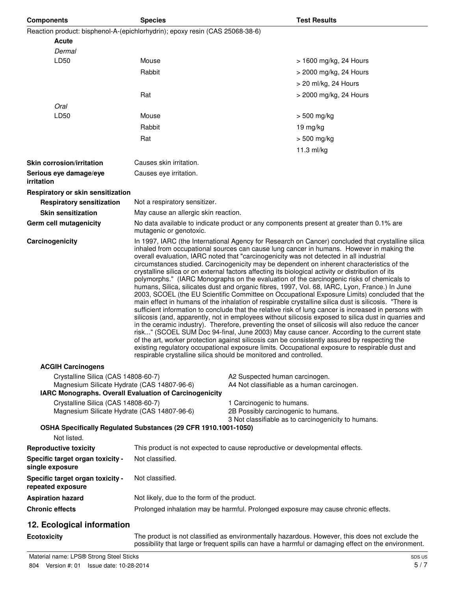| <b>Components</b>                                                                                                                                                                                                            | <b>Species</b>                                                                                                                                                                                                                                                                                                                                                                                                                                                                                                                                                                                                                                                                                                                                                                                                                                                                                                                                                                                                                                                                                                                                                                                                                                                                                                                                                                                                                                                                                                                                                                                     |                                                                  | <b>Test Results</b>                                                                      |  |
|------------------------------------------------------------------------------------------------------------------------------------------------------------------------------------------------------------------------------|----------------------------------------------------------------------------------------------------------------------------------------------------------------------------------------------------------------------------------------------------------------------------------------------------------------------------------------------------------------------------------------------------------------------------------------------------------------------------------------------------------------------------------------------------------------------------------------------------------------------------------------------------------------------------------------------------------------------------------------------------------------------------------------------------------------------------------------------------------------------------------------------------------------------------------------------------------------------------------------------------------------------------------------------------------------------------------------------------------------------------------------------------------------------------------------------------------------------------------------------------------------------------------------------------------------------------------------------------------------------------------------------------------------------------------------------------------------------------------------------------------------------------------------------------------------------------------------------------|------------------------------------------------------------------|------------------------------------------------------------------------------------------|--|
| Reaction product: bisphenol-A-(epichlorhydrin); epoxy resin (CAS 25068-38-6)                                                                                                                                                 |                                                                                                                                                                                                                                                                                                                                                                                                                                                                                                                                                                                                                                                                                                                                                                                                                                                                                                                                                                                                                                                                                                                                                                                                                                                                                                                                                                                                                                                                                                                                                                                                    |                                                                  |                                                                                          |  |
| Acute                                                                                                                                                                                                                        |                                                                                                                                                                                                                                                                                                                                                                                                                                                                                                                                                                                                                                                                                                                                                                                                                                                                                                                                                                                                                                                                                                                                                                                                                                                                                                                                                                                                                                                                                                                                                                                                    |                                                                  |                                                                                          |  |
| Dermal                                                                                                                                                                                                                       |                                                                                                                                                                                                                                                                                                                                                                                                                                                                                                                                                                                                                                                                                                                                                                                                                                                                                                                                                                                                                                                                                                                                                                                                                                                                                                                                                                                                                                                                                                                                                                                                    |                                                                  |                                                                                          |  |
| LD50                                                                                                                                                                                                                         | Mouse                                                                                                                                                                                                                                                                                                                                                                                                                                                                                                                                                                                                                                                                                                                                                                                                                                                                                                                                                                                                                                                                                                                                                                                                                                                                                                                                                                                                                                                                                                                                                                                              |                                                                  | > 1600 mg/kg, 24 Hours                                                                   |  |
|                                                                                                                                                                                                                              | Rabbit                                                                                                                                                                                                                                                                                                                                                                                                                                                                                                                                                                                                                                                                                                                                                                                                                                                                                                                                                                                                                                                                                                                                                                                                                                                                                                                                                                                                                                                                                                                                                                                             |                                                                  | > 2000 mg/kg, 24 Hours                                                                   |  |
|                                                                                                                                                                                                                              |                                                                                                                                                                                                                                                                                                                                                                                                                                                                                                                                                                                                                                                                                                                                                                                                                                                                                                                                                                                                                                                                                                                                                                                                                                                                                                                                                                                                                                                                                                                                                                                                    |                                                                  | > 20 ml/kg, 24 Hours                                                                     |  |
|                                                                                                                                                                                                                              | Rat                                                                                                                                                                                                                                                                                                                                                                                                                                                                                                                                                                                                                                                                                                                                                                                                                                                                                                                                                                                                                                                                                                                                                                                                                                                                                                                                                                                                                                                                                                                                                                                                |                                                                  | > 2000 mg/kg, 24 Hours                                                                   |  |
| Oral<br>LD50                                                                                                                                                                                                                 | Mouse                                                                                                                                                                                                                                                                                                                                                                                                                                                                                                                                                                                                                                                                                                                                                                                                                                                                                                                                                                                                                                                                                                                                                                                                                                                                                                                                                                                                                                                                                                                                                                                              |                                                                  |                                                                                          |  |
|                                                                                                                                                                                                                              |                                                                                                                                                                                                                                                                                                                                                                                                                                                                                                                                                                                                                                                                                                                                                                                                                                                                                                                                                                                                                                                                                                                                                                                                                                                                                                                                                                                                                                                                                                                                                                                                    |                                                                  | > 500 mg/kg                                                                              |  |
|                                                                                                                                                                                                                              | Rabbit                                                                                                                                                                                                                                                                                                                                                                                                                                                                                                                                                                                                                                                                                                                                                                                                                                                                                                                                                                                                                                                                                                                                                                                                                                                                                                                                                                                                                                                                                                                                                                                             |                                                                  | 19 mg/kg                                                                                 |  |
|                                                                                                                                                                                                                              | Rat                                                                                                                                                                                                                                                                                                                                                                                                                                                                                                                                                                                                                                                                                                                                                                                                                                                                                                                                                                                                                                                                                                                                                                                                                                                                                                                                                                                                                                                                                                                                                                                                |                                                                  | > 500 mg/kg                                                                              |  |
|                                                                                                                                                                                                                              |                                                                                                                                                                                                                                                                                                                                                                                                                                                                                                                                                                                                                                                                                                                                                                                                                                                                                                                                                                                                                                                                                                                                                                                                                                                                                                                                                                                                                                                                                                                                                                                                    |                                                                  | 11.3 ml/kg                                                                               |  |
| <b>Skin corrosion/irritation</b>                                                                                                                                                                                             | Causes skin irritation.                                                                                                                                                                                                                                                                                                                                                                                                                                                                                                                                                                                                                                                                                                                                                                                                                                                                                                                                                                                                                                                                                                                                                                                                                                                                                                                                                                                                                                                                                                                                                                            |                                                                  |                                                                                          |  |
| Serious eye damage/eye<br>irritation                                                                                                                                                                                         | Causes eye irritation.                                                                                                                                                                                                                                                                                                                                                                                                                                                                                                                                                                                                                                                                                                                                                                                                                                                                                                                                                                                                                                                                                                                                                                                                                                                                                                                                                                                                                                                                                                                                                                             |                                                                  |                                                                                          |  |
| Respiratory or skin sensitization                                                                                                                                                                                            |                                                                                                                                                                                                                                                                                                                                                                                                                                                                                                                                                                                                                                                                                                                                                                                                                                                                                                                                                                                                                                                                                                                                                                                                                                                                                                                                                                                                                                                                                                                                                                                                    |                                                                  |                                                                                          |  |
| <b>Respiratory sensitization</b>                                                                                                                                                                                             | Not a respiratory sensitizer.                                                                                                                                                                                                                                                                                                                                                                                                                                                                                                                                                                                                                                                                                                                                                                                                                                                                                                                                                                                                                                                                                                                                                                                                                                                                                                                                                                                                                                                                                                                                                                      |                                                                  |                                                                                          |  |
| <b>Skin sensitization</b>                                                                                                                                                                                                    | May cause an allergic skin reaction.                                                                                                                                                                                                                                                                                                                                                                                                                                                                                                                                                                                                                                                                                                                                                                                                                                                                                                                                                                                                                                                                                                                                                                                                                                                                                                                                                                                                                                                                                                                                                               |                                                                  |                                                                                          |  |
| Germ cell mutagenicity                                                                                                                                                                                                       | mutagenic or genotoxic.                                                                                                                                                                                                                                                                                                                                                                                                                                                                                                                                                                                                                                                                                                                                                                                                                                                                                                                                                                                                                                                                                                                                                                                                                                                                                                                                                                                                                                                                                                                                                                            |                                                                  | No data available to indicate product or any components present at greater than 0.1% are |  |
| Carcinogenicity                                                                                                                                                                                                              | In 1997, IARC (the International Agency for Research on Cancer) concluded that crystalline silica<br>inhaled from occupational sources can cause lung cancer in humans. However in making the<br>overall evaluation, IARC noted that "carcinogenicity was not detected in all industrial<br>circumstances studied. Carcinogenicity may be dependent on inherent characteristics of the<br>crystalline silica or on external factors affecting its biological activity or distribution of its<br>polymorphs." (IARC Monographs on the evaluation of the carcinogenic risks of chemicals to<br>humans, Silica, silicates dust and organic fibres, 1997, Vol. 68, IARC, Lyon, France.) In June<br>2003, SCOEL (the EU Scientific Committee on Occupational Exposure Limits) concluded that the<br>main effect in humans of the inhalation of respirable crystalline silica dust is silicosis. "There is<br>sufficient information to conclude that the relative risk of lung cancer is increased in persons with<br>silicosis (and, apparently, not in employees without silicosis exposed to silica dust in quarries and<br>in the ceramic industry). Therefore, preventing the onset of silicosis will also reduce the cancer<br>risk" (SCOEL SUM Doc 94-final, June 2003) May cause cancer. According to the current state<br>of the art, worker protection against silicosis can be consistently assured by respecting the<br>existing regulatory occupational exposure limits. Occupational exposure to respirable dust and<br>respirable crystalline silica should be monitored and controlled. |                                                                  |                                                                                          |  |
| <b>ACGIH Carcinogens</b>                                                                                                                                                                                                     |                                                                                                                                                                                                                                                                                                                                                                                                                                                                                                                                                                                                                                                                                                                                                                                                                                                                                                                                                                                                                                                                                                                                                                                                                                                                                                                                                                                                                                                                                                                                                                                                    |                                                                  |                                                                                          |  |
| Crystalline Silica (CAS 14808-60-7)<br>A2 Suspected human carcinogen.<br>Magnesium Silicate Hydrate (CAS 14807-96-6)<br>A4 Not classifiable as a human carcinogen.<br>IARC Monographs. Overall Evaluation of Carcinogenicity |                                                                                                                                                                                                                                                                                                                                                                                                                                                                                                                                                                                                                                                                                                                                                                                                                                                                                                                                                                                                                                                                                                                                                                                                                                                                                                                                                                                                                                                                                                                                                                                                    |                                                                  |                                                                                          |  |
| Crystalline Silica (CAS 14808-60-7)<br>Magnesium Silicate Hydrate (CAS 14807-96-6)                                                                                                                                           |                                                                                                                                                                                                                                                                                                                                                                                                                                                                                                                                                                                                                                                                                                                                                                                                                                                                                                                                                                                                                                                                                                                                                                                                                                                                                                                                                                                                                                                                                                                                                                                                    | 1 Carcinogenic to humans.<br>2B Possibly carcinogenic to humans. | 3 Not classifiable as to carcinogenicity to humans.                                      |  |
| Not listed.                                                                                                                                                                                                                  | OSHA Specifically Regulated Substances (29 CFR 1910.1001-1050)                                                                                                                                                                                                                                                                                                                                                                                                                                                                                                                                                                                                                                                                                                                                                                                                                                                                                                                                                                                                                                                                                                                                                                                                                                                                                                                                                                                                                                                                                                                                     |                                                                  |                                                                                          |  |
| <b>Reproductive toxicity</b>                                                                                                                                                                                                 | This product is not expected to cause reproductive or developmental effects.                                                                                                                                                                                                                                                                                                                                                                                                                                                                                                                                                                                                                                                                                                                                                                                                                                                                                                                                                                                                                                                                                                                                                                                                                                                                                                                                                                                                                                                                                                                       |                                                                  |                                                                                          |  |
| Specific target organ toxicity -<br>single exposure                                                                                                                                                                          | Not classified.                                                                                                                                                                                                                                                                                                                                                                                                                                                                                                                                                                                                                                                                                                                                                                                                                                                                                                                                                                                                                                                                                                                                                                                                                                                                                                                                                                                                                                                                                                                                                                                    |                                                                  |                                                                                          |  |
| Specific target organ toxicity -<br>repeated exposure                                                                                                                                                                        | Not classified.                                                                                                                                                                                                                                                                                                                                                                                                                                                                                                                                                                                                                                                                                                                                                                                                                                                                                                                                                                                                                                                                                                                                                                                                                                                                                                                                                                                                                                                                                                                                                                                    |                                                                  |                                                                                          |  |
| <b>Aspiration hazard</b>                                                                                                                                                                                                     | Not likely, due to the form of the product.                                                                                                                                                                                                                                                                                                                                                                                                                                                                                                                                                                                                                                                                                                                                                                                                                                                                                                                                                                                                                                                                                                                                                                                                                                                                                                                                                                                                                                                                                                                                                        |                                                                  |                                                                                          |  |
| <b>Chronic effects</b>                                                                                                                                                                                                       |                                                                                                                                                                                                                                                                                                                                                                                                                                                                                                                                                                                                                                                                                                                                                                                                                                                                                                                                                                                                                                                                                                                                                                                                                                                                                                                                                                                                                                                                                                                                                                                                    |                                                                  | Prolonged inhalation may be harmful. Prolonged exposure may cause chronic effects.       |  |
| 12. Ecological information                                                                                                                                                                                                   |                                                                                                                                                                                                                                                                                                                                                                                                                                                                                                                                                                                                                                                                                                                                                                                                                                                                                                                                                                                                                                                                                                                                                                                                                                                                                                                                                                                                                                                                                                                                                                                                    |                                                                  |                                                                                          |  |

**Ecotoxicity** The product is not classified as environmentally hazardous. However, this does not exclude the possibility that large or frequent spills can have a harmful or damaging effect on the environment.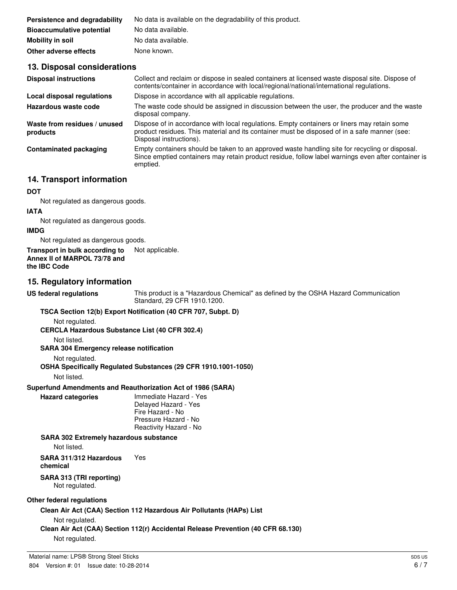| Persistence and degradability    | No data is available on the degradability of this product. |
|----------------------------------|------------------------------------------------------------|
| <b>Bioaccumulative potential</b> | No data available.                                         |
| Mobility in soil                 | No data available.                                         |
| Other adverse effects            | None known.                                                |

# **13. Disposal considerations**

| <b>Disposal instructions</b>             | Collect and reclaim or dispose in sealed containers at licensed waste disposal site. Dispose of<br>contents/container in accordance with local/regional/national/international regulations.                            |
|------------------------------------------|------------------------------------------------------------------------------------------------------------------------------------------------------------------------------------------------------------------------|
| Local disposal regulations               | Dispose in accordance with all applicable regulations.                                                                                                                                                                 |
| Hazardous waste code                     | The waste code should be assigned in discussion between the user, the producer and the waste<br>disposal company.                                                                                                      |
| Waste from residues / unused<br>products | Dispose of in accordance with local regulations. Empty containers or liners may retain some<br>product residues. This material and its container must be disposed of in a safe manner (see:<br>Disposal instructions). |
| <b>Contaminated packaging</b>            | Empty containers should be taken to an approved waste handling site for recycling or disposal.<br>Since emptied containers may retain product residue, follow label warnings even after container is<br>emptied.       |
|                                          |                                                                                                                                                                                                                        |

# **14. Transport information**

#### **DOT**

Not regulated as dangerous goods.

#### **IATA**

Not regulated as dangerous goods.

#### **IMDG**

Not regulated as dangerous goods.

**Transport in bulk according to** Not applicable. **Annex II of MARPOL 73/78 and the IBC Code**

#### **15. Regulatory information**

**US federal regulations** This product is a "Hazardous Chemical" as defined by the OSHA Hazard Communication Standard, 29 CFR 1910.1200.

#### **TSCA Section 12(b) Export Notification (40 CFR 707, Subpt. D)**

Not regulated.

**CERCLA Hazardous Substance List (40 CFR 302.4)**

Not listed.

# **SARA 304 Emergency release notification**

Not regulated.

#### **OSHA Specifically Regulated Substances (29 CFR 1910.1001-1050)**

Not listed.

# **Superfund Amendments and Reauthorization Act of 1986 (SARA)**

**Hazard categories** Immediate Hazard - Yes

Delayed Hazard - Yes Fire Hazard - No Pressure Hazard - No Reactivity Hazard - No

#### **SARA 302 Extremely hazardous substance**

Not listed.

**SARA 311/312 Hazardous chemical** Yes

### **SARA 313 (TRI reporting)**

Not regulated.

#### **Other federal regulations**

**Clean Air Act (CAA) Section 112 Hazardous Air Pollutants (HAPs) List**

Not regulated.

**Clean Air Act (CAA) Section 112(r) Accidental Release Prevention (40 CFR 68.130)**

Not regulated.